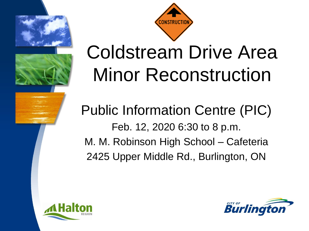



## Coldstream Drive Area Minor Reconstruction

Public Information Centre (PIC) Feb. 12, 2020 6:30 to 8 p.m. M. M. Robinson High School – Cafeteria 2425 Upper Middle Rd., Burlington, ON



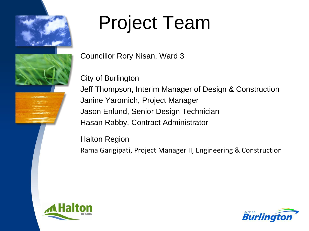

## Project Team

Councillor Rory Nisan, Ward 3

#### City of Burlington

Jeff Thompson, Interim Manager of Design & Construction Janine Yaromich, Project Manager Jason Enlund, Senior Design Technician Hasan Rabby, Contract Administrator

### **Halton Region**

Rama Garigipati, Project Manager II, Engineering & Construction



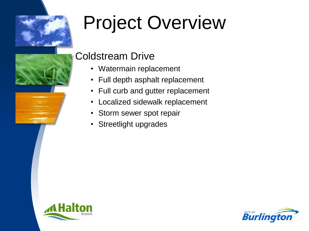

## Project Overview



### **Burlingt**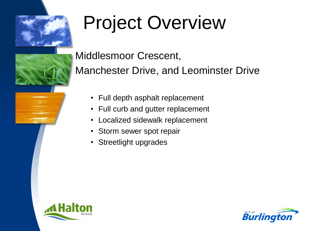

## Project Overview



Middlesmoor Crescent,

Manchester Drive, and Leominster Drive

- Full depth asphalt replacement
- Full curb and gutter replacement
- Localized sidewalk replacement
- Storm sewer spot repair
- Streetlight upgrades



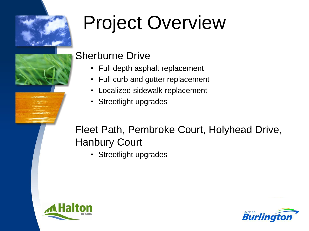

# Project Overview



### Sherburne Drive

- Full depth asphalt replacement
- Full curb and gutter replacement
- Localized sidewalk replacement
- Streetlight upgrades

### Fleet Path, Pembroke Court, Holyhead Drive, Hanbury Court

• Streetlight upgrades

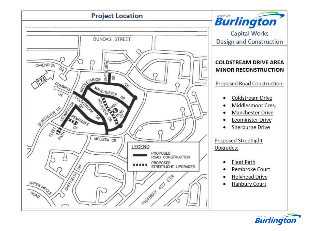

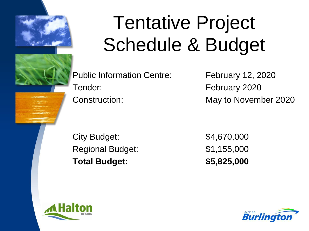

## Tentative Project Schedule & Budget

Public Information Centre: February 12, 2020 Tender: February 2020 Construction: May to November 2020

City Budget: \$4,670,000 Regional Budget: \$1,155,000 **Total Budget: \$5,825,000** 



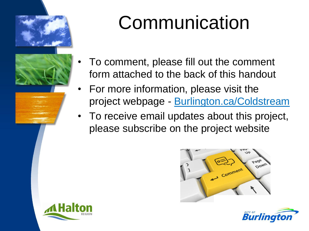



## **Communication**

- To comment, please fill out the comment form attached to the back of this handout
- For more information, please visit the project webpage - Burlington.ca/Coldstream
- To receive email updates about this project, please subscribe on the project website





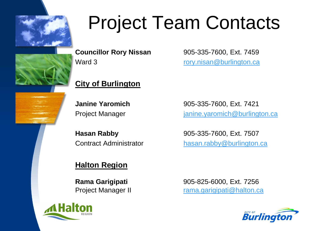

## Project Team Contacts

**Councillor Rory Nissan** 905-335-7600, Ext. 7459 Ward 3 **rory.nisan[@burlington.ca](mailto:jeff.thompson@burlington.ca)** 

### **City of Burlington**

**Janine Yaromich** 905-335-7600, Ext. 7421 Project Manager in the intervalue of the project Manager in the intervalue of the project Manager

**Hasan Rabby** 905-335-7600, Ext. 7507 Contract Administrator hasan.rabby@burlington.ca

### **Halton Region**



**Rama Garigipati** 905-825-6000, Ext. 7256 Project Manager II rama.garigipati@halton.ca